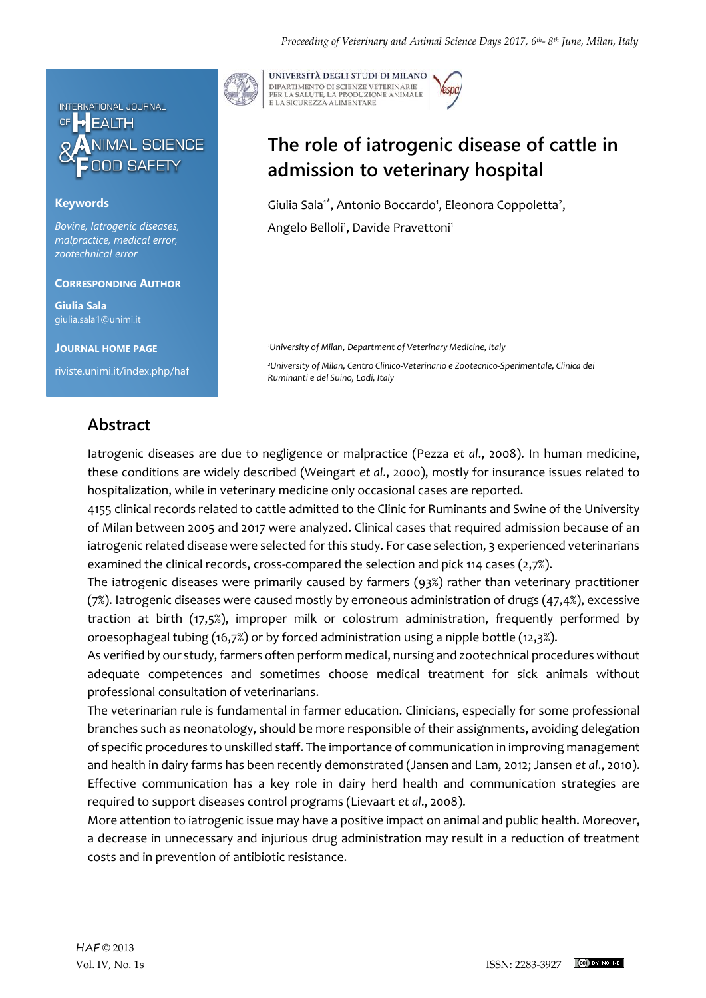

### **Keywords**

*Bovine, Iatrogenic diseases, malpractice, medical error, zootechnical error*

#### **CORRESPONDING AUTHOR**

**Giulia Sala** giulia.sala1@unimi.it

**JOURNAL HOME PAGE** riviste.unimi.it/index.php/haf



UNIVERSITÀ DEGLI STUDI DI MILANO DIPARTIMENTO DI SCIENZE VETERINARIE PER LA SALUTE, LA PRODUZIONE ANIMALE<br>E LA SICUREZZA ALIMENTARE

# **The role of iatrogenic disease of cattle in admission to veterinary hospital**

Giulia Sala<sup>1\*</sup>, Antonio Boccardo<sup>1</sup>, Eleonora Coppoletta<sup>2</sup>, Angelo Belloli<sup>1</sup>, Davide Pravettoni<sup>1</sup>

*<sup>1</sup>University of Milan*, *Department of Veterinary Medicine, Italy* 

*<sup>2</sup>University of Milan, Centro Clinico-Veterinario e Zootecnico-Sperimentale, Clinica dei Ruminanti e del Suino, Lodi, Italy*

### **Abstract**

Iatrogenic diseases are due to negligence or malpractice (Pezza *et al*., 2008). In human medicine, these conditions are widely described (Weingart *et al*., 2000), mostly for insurance issues related to hospitalization, while in veterinary medicine only occasional cases are reported.

4155 clinical records related to cattle admitted to the Clinic for Ruminants and Swine of the University of Milan between 2005 and 2017 were analyzed. Clinical cases that required admission because of an iatrogenic related disease were selected for this study. For case selection, 3 experienced veterinarians examined the clinical records, cross-compared the selection and pick 114 cases (2,7%).

The iatrogenic diseases were primarily caused by farmers (93%) rather than veterinary practitioner (7%). Iatrogenic diseases were caused mostly by erroneous administration of drugs (47,4%), excessive traction at birth (17,5%), improper milk or colostrum administration, frequently performed by oroesophageal tubing (16,7%) or by forced administration using a nipple bottle (12,3%).

As verified by our study, farmers often perform medical, nursing and zootechnical procedures without adequate competences and sometimes choose medical treatment for sick animals without professional consultation of veterinarians.

The veterinarian rule is fundamental in farmer education. Clinicians, especially for some professional branches such as neonatology, should be more responsible of their assignments, avoiding delegation of specific procedures to unskilled staff. The importance of communication in improving management and health in dairy farms has been recently demonstrated (Jansen and Lam, 2012; Jansen *et al*., 2010). Effective communication has a key role in dairy herd health and communication strategies are required to support diseases control programs (Lievaart *et al*., 2008).

More attention to iatrogenic issue may have a positive impact on animal and public health. Moreover, a decrease in unnecessary and injurious drug administration may result in a reduction of treatment costs and in prevention of antibiotic resistance.